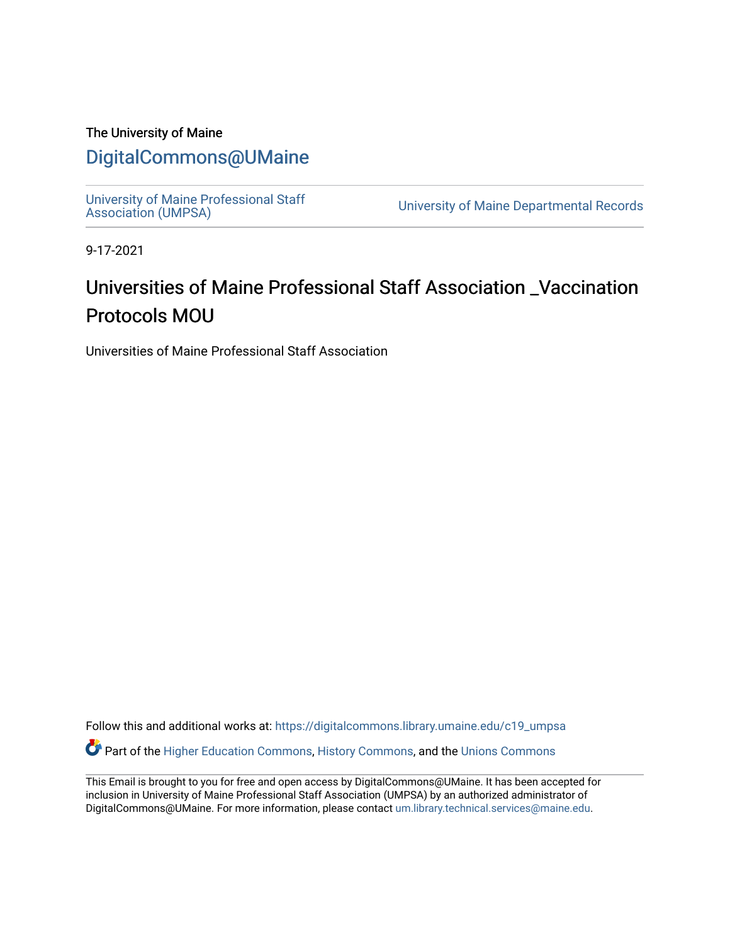### The University of Maine

### [DigitalCommons@UMaine](https://digitalcommons.library.umaine.edu/)

University of Maine Professional Staff<br>Association (UMPSA)

University of Maine Departmental Records

9-17-2021

## Universities of Maine Professional Staff Association \_Vaccination Protocols MOU

Universities of Maine Professional Staff Association

Follow this and additional works at: [https://digitalcommons.library.umaine.edu/c19\\_umpsa](https://digitalcommons.library.umaine.edu/c19_umpsa?utm_source=digitalcommons.library.umaine.edu%2Fc19_umpsa%2F1&utm_medium=PDF&utm_campaign=PDFCoverPages)  Part of the [Higher Education Commons,](http://network.bepress.com/hgg/discipline/1245?utm_source=digitalcommons.library.umaine.edu%2Fc19_umpsa%2F1&utm_medium=PDF&utm_campaign=PDFCoverPages) [History Commons,](http://network.bepress.com/hgg/discipline/489?utm_source=digitalcommons.library.umaine.edu%2Fc19_umpsa%2F1&utm_medium=PDF&utm_campaign=PDFCoverPages) and the [Unions Commons](http://network.bepress.com/hgg/discipline/1260?utm_source=digitalcommons.library.umaine.edu%2Fc19_umpsa%2F1&utm_medium=PDF&utm_campaign=PDFCoverPages)

This Email is brought to you for free and open access by DigitalCommons@UMaine. It has been accepted for inclusion in University of Maine Professional Staff Association (UMPSA) by an authorized administrator of DigitalCommons@UMaine. For more information, please contact [um.library.technical.services@maine.edu](mailto:um.library.technical.services@maine.edu).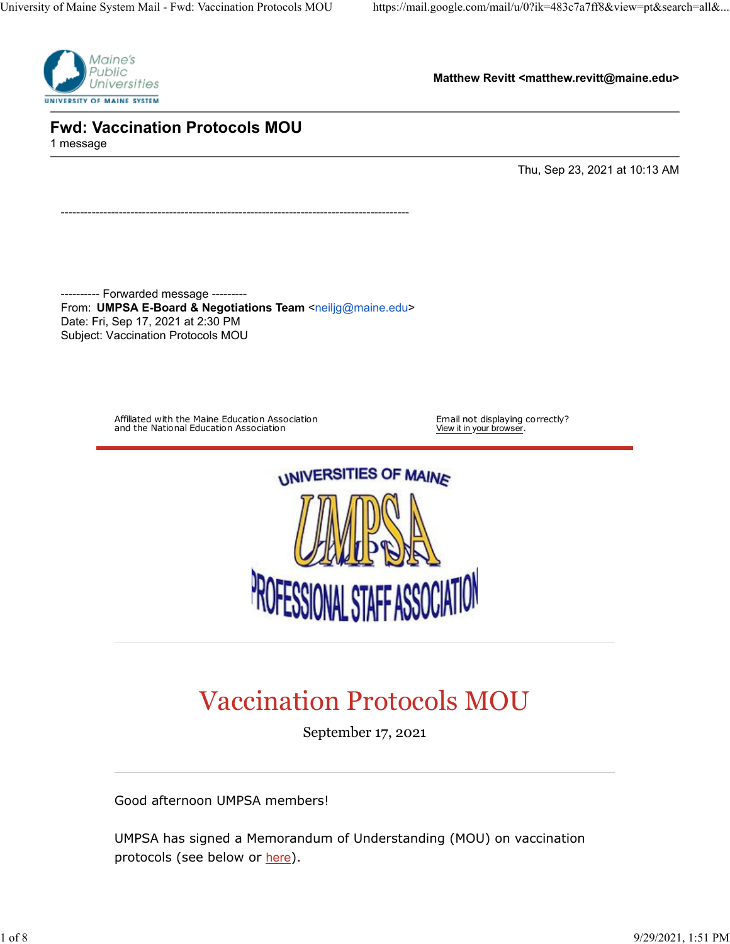

**Matthew Revitt <matthew.revitt@maine.edu>**

**Fwd: Vaccination Protocols MOU** 1 message

Thu, Sep 23, 2021 at 10:13 AM

---------- Forwarded message --------- From: **UMPSA E-Board & Negotiations Team** [<neiljg@maine.edu](mailto:neiljg@maine.edu)> Date: Fri, Sep 17, 2021 at 2:30 PM Subject: Vaccination Protocols MOU

------------------------------------------------------------------------------------------

Affiliated with the Maine Education Association and the National Education Association

Email not displaying correctly?<br>View it in <u>your browser</u>.



# Vaccination Protocols MOU

September 17, 2021

Good afternoon UMPSA members!

UMPSA has signed a Memorandum of Understanding (MOU) on vaccination protocols (see below or [here](https://umpsa.us7.list-manage.com/track/click?u=cbd39cbf2a49a1d34b357ac73&id=ba5579a671&e=ba48139edd)).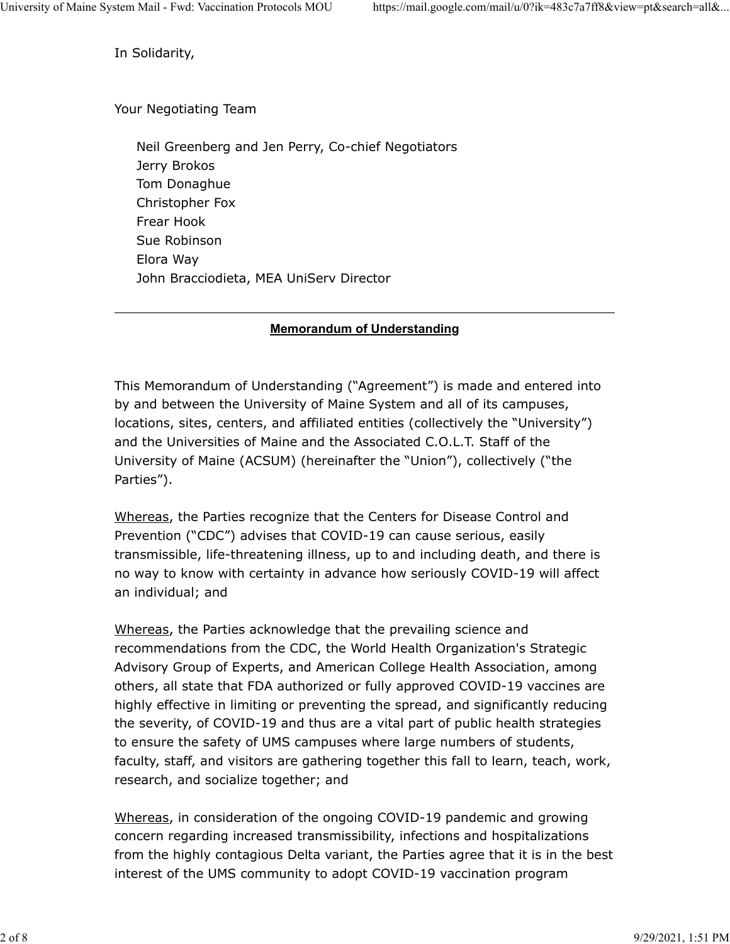In Solidarity,

Your Negotiating Team

 Neil Greenberg and Jen Perry, Co-chief Negotiators Jerry Brokos Tom Donaghue Christopher Fox Frear Hook Sue Robinson Elora Way John Bracciodieta, MEA UniServ Director

### **Memorandum of Understanding**

This Memorandum of Understanding ("Agreement") is made and entered into by and between the University of Maine System and all of its campuses, locations, sites, centers, and affiliated entities (collectively the "University") and the Universities of Maine and the Associated C.O.L.T. Staff of the University of Maine (ACSUM) (hereinafter the "Union"), collectively ("the Parties").

Whereas, the Parties recognize that the Centers for Disease Control and Prevention ("CDC") advises that COVID-19 can cause serious, easily transmissible, life-threatening illness, up to and including death, and there is no way to know with certainty in advance how seriously COVID-19 will affect an individual; and

Whereas, the Parties acknowledge that the prevailing science and recommendations from the CDC, the World Health Organization's Strategic Advisory Group of Experts, and American College Health Association, among others, all state that FDA authorized or fully approved COVID-19 vaccines are highly effective in limiting or preventing the spread, and significantly reducing the severity, of COVID-19 and thus are a vital part of public health strategies to ensure the safety of UMS campuses where large numbers of students, faculty, staff, and visitors are gathering together this fall to learn, teach, work, research, and socialize together; and

Whereas, in consideration of the ongoing COVID-19 pandemic and growing concern regarding increased transmissibility, infections and hospitalizations from the highly contagious Delta variant, the Parties agree that it is in the best interest of the UMS community to adopt COVID-19 vaccination program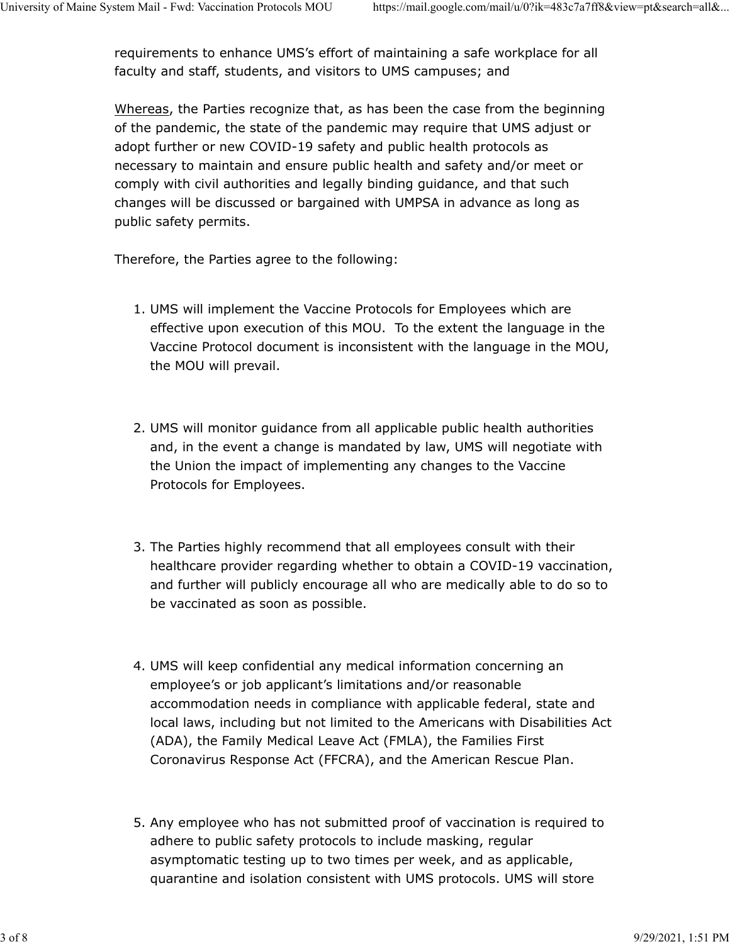requirements to enhance UMS's effort of maintaining a safe workplace for all faculty and staff, students, and visitors to UMS campuses; and

Whereas, the Parties recognize that, as has been the case from the beginning of the pandemic, the state of the pandemic may require that UMS adjust or adopt further or new COVID-19 safety and public health protocols as necessary to maintain and ensure public health and safety and/or meet or comply with civil authorities and legally binding guidance, and that such changes will be discussed or bargained with UMPSA in advance as long as public safety permits.

Therefore, the Parties agree to the following:

- 1. UMS will implement the Vaccine Protocols for Employees which are effective upon execution of this MOU. To the extent the language in the Vaccine Protocol document is inconsistent with the language in the MOU, the MOU will prevail.
- 2. UMS will monitor guidance from all applicable public health authorities and, in the event a change is mandated by law, UMS will negotiate with the Union the impact of implementing any changes to the Vaccine Protocols for Employees.
- 3. The Parties highly recommend that all employees consult with their healthcare provider regarding whether to obtain a COVID-19 vaccination, and further will publicly encourage all who are medically able to do so to be vaccinated as soon as possible.
- 4. UMS will keep confidential any medical information concerning an employee's or job applicant's limitations and/or reasonable accommodation needs in compliance with applicable federal, state and local laws, including but not limited to the Americans with Disabilities Act (ADA), the Family Medical Leave Act (FMLA), the Families First Coronavirus Response Act (FFCRA), and the American Rescue Plan.
- 5. Any employee who has not submitted proof of vaccination is required to adhere to public safety protocols to include masking, regular asymptomatic testing up to two times per week, and as applicable, quarantine and isolation consistent with UMS protocols. UMS will store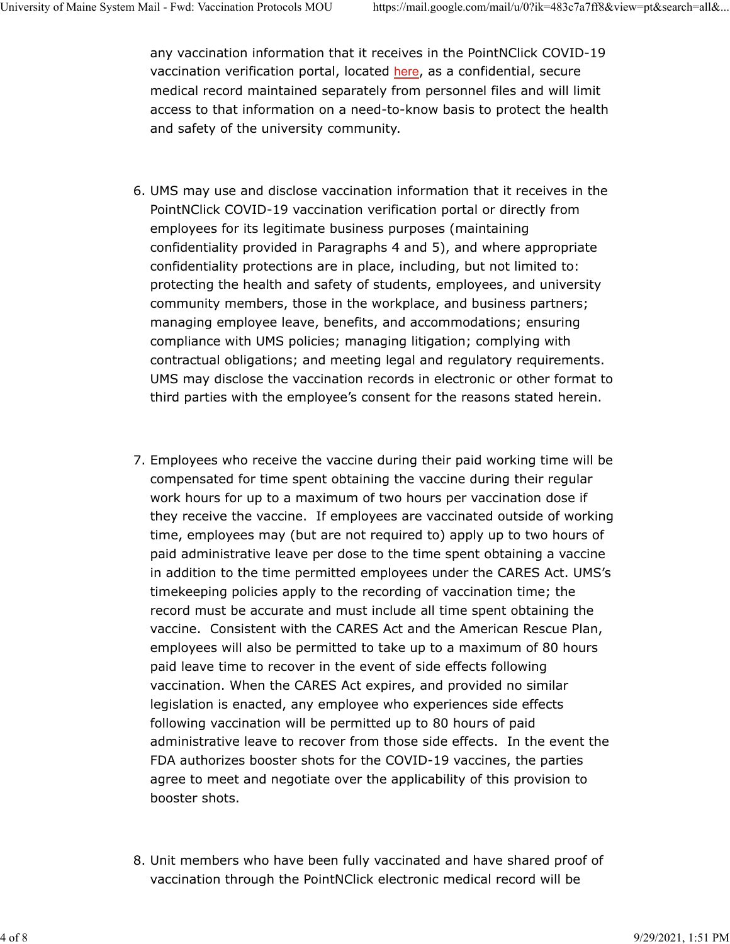any vaccination information that it receives in the PointNClick COVID-19 vaccination verification portal, located [here](https://umpsa.us7.list-manage.com/track/click?u=cbd39cbf2a49a1d34b357ac73&id=ebbddec77b&e=ba48139edd), as a confidential, secure medical record maintained separately from personnel files and will limit access to that information on a need-to-know basis to protect the health and safety of the university community.

- 6. UMS may use and disclose vaccination information that it receives in the PointNClick COVID-19 vaccination verification portal or directly from employees for its legitimate business purposes (maintaining confidentiality provided in Paragraphs 4 and 5), and where appropriate confidentiality protections are in place, including, but not limited to: protecting the health and safety of students, employees, and university community members, those in the workplace, and business partners; managing employee leave, benefits, and accommodations; ensuring compliance with UMS policies; managing litigation; complying with contractual obligations; and meeting legal and regulatory requirements. UMS may disclose the vaccination records in electronic or other format to third parties with the employee's consent for the reasons stated herein.
- 7. Employees who receive the vaccine during their paid working time will be compensated for time spent obtaining the vaccine during their regular work hours for up to a maximum of two hours per vaccination dose if they receive the vaccine. If employees are vaccinated outside of working time, employees may (but are not required to) apply up to two hours of paid administrative leave per dose to the time spent obtaining a vaccine in addition to the time permitted employees under the CARES Act. UMS's timekeeping policies apply to the recording of vaccination time; the record must be accurate and must include all time spent obtaining the vaccine. Consistent with the CARES Act and the American Rescue Plan, employees will also be permitted to take up to a maximum of 80 hours paid leave time to recover in the event of side effects following vaccination. When the CARES Act expires, and provided no similar legislation is enacted, any employee who experiences side effects following vaccination will be permitted up to 80 hours of paid administrative leave to recover from those side effects. In the event the FDA authorizes booster shots for the COVID-19 vaccines, the parties agree to meet and negotiate over the applicability of this provision to booster shots.
- 8. Unit members who have been fully vaccinated and have shared proof of vaccination through the PointNClick electronic medical record will be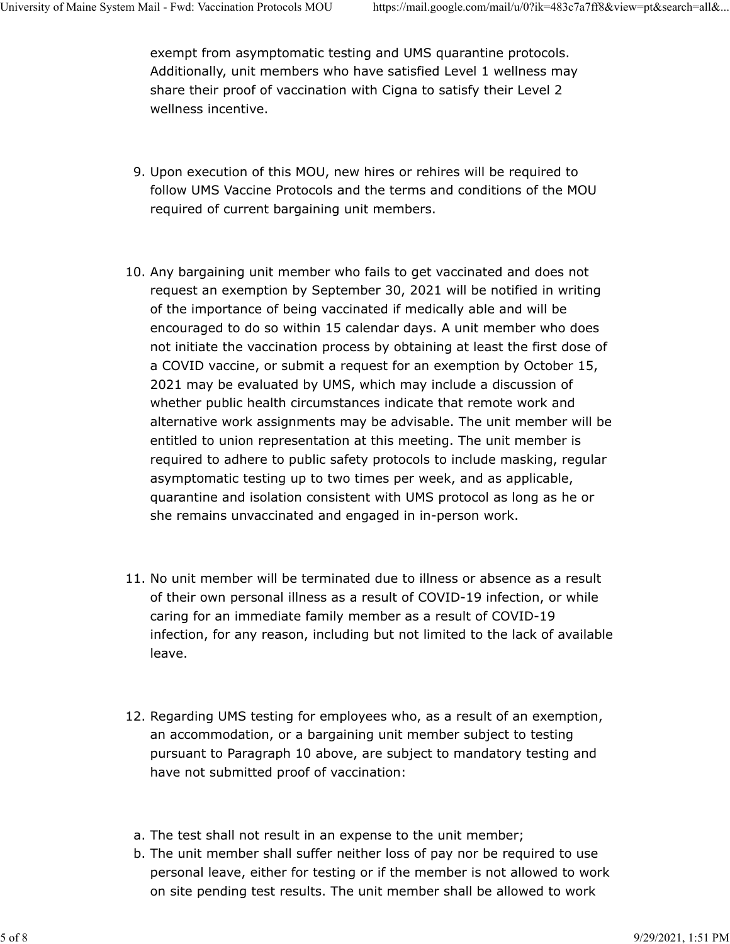exempt from asymptomatic testing and UMS quarantine protocols. Additionally, unit members who have satisfied Level 1 wellness may share their proof of vaccination with Cigna to satisfy their Level 2 wellness incentive.

- 9. Upon execution of this MOU, new hires or rehires will be required to follow UMS Vaccine Protocols and the terms and conditions of the MOU required of current bargaining unit members.
- 10. Any bargaining unit member who fails to get vaccinated and does not request an exemption by September 30, 2021 will be notified in writing of the importance of being vaccinated if medically able and will be encouraged to do so within 15 calendar days. A unit member who does not initiate the vaccination process by obtaining at least the first dose of a COVID vaccine, or submit a request for an exemption by October 15, 2021 may be evaluated by UMS, which may include a discussion of whether public health circumstances indicate that remote work and alternative work assignments may be advisable. The unit member will be entitled to union representation at this meeting. The unit member is required to adhere to public safety protocols to include masking, regular asymptomatic testing up to two times per week, and as applicable, quarantine and isolation consistent with UMS protocol as long as he or she remains unvaccinated and engaged in in-person work.
- 11. No unit member will be terminated due to illness or absence as a result of their own personal illness as a result of COVID-19 infection, or while caring for an immediate family member as a result of COVID-19 infection, for any reason, including but not limited to the lack of available leave.
- 12. Regarding UMS testing for employees who, as a result of an exemption, an accommodation, or a bargaining unit member subject to testing pursuant to Paragraph 10 above, are subject to mandatory testing and have not submitted proof of vaccination:
- a. The test shall not result in an expense to the unit member;
- b. The unit member shall suffer neither loss of pay nor be required to use personal leave, either for testing or if the member is not allowed to work on site pending test results. The unit member shall be allowed to work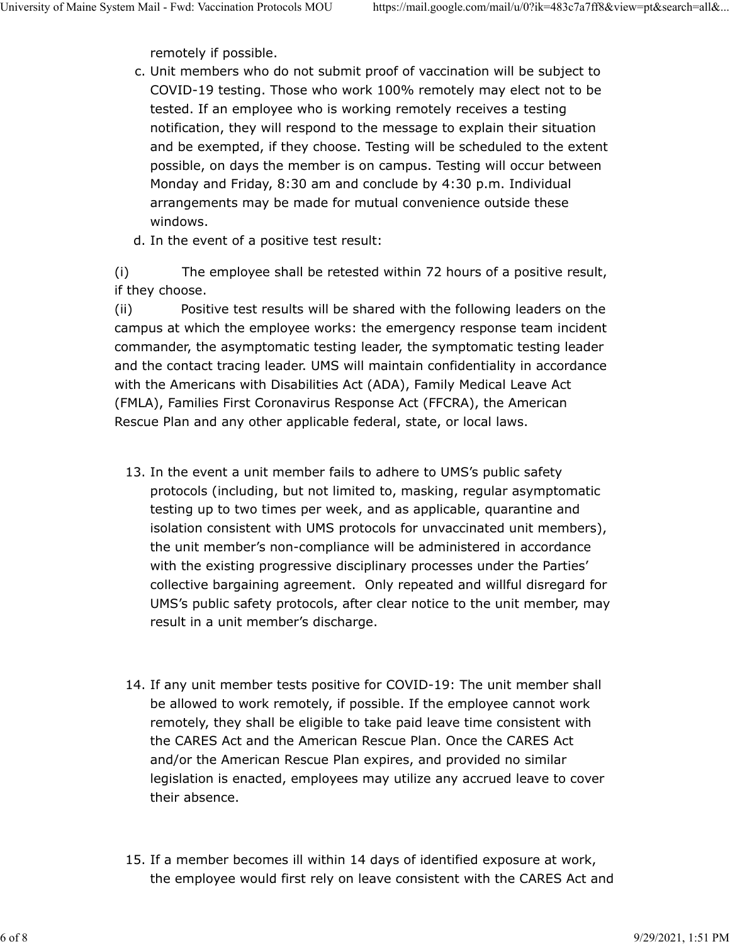remotely if possible.

- c. Unit members who do not submit proof of vaccination will be subject to COVID-19 testing. Those who work 100% remotely may elect not to be tested. If an employee who is working remotely receives a testing notification, they will respond to the message to explain their situation and be exempted, if they choose. Testing will be scheduled to the extent possible, on days the member is on campus. Testing will occur between Monday and Friday, 8:30 am and conclude by 4:30 p.m. Individual arrangements may be made for mutual convenience outside these windows.
- d. In the event of a positive test result:

(i) The employee shall be retested within 72 hours of a positive result, if they choose.

(ii) Positive test results will be shared with the following leaders on the campus at which the employee works: the emergency response team incident commander, the asymptomatic testing leader, the symptomatic testing leader and the contact tracing leader. UMS will maintain confidentiality in accordance with the Americans with Disabilities Act (ADA), Family Medical Leave Act (FMLA), Families First Coronavirus Response Act (FFCRA), the American Rescue Plan and any other applicable federal, state, or local laws.

- 13. In the event a unit member fails to adhere to UMS's public safety protocols (including, but not limited to, masking, regular asymptomatic testing up to two times per week, and as applicable, quarantine and isolation consistent with UMS protocols for unvaccinated unit members), the unit member's non-compliance will be administered in accordance with the existing progressive disciplinary processes under the Parties' collective bargaining agreement. Only repeated and willful disregard for UMS's public safety protocols, after clear notice to the unit member, may result in a unit member's discharge.
- 14. If any unit member tests positive for COVID-19: The unit member shall be allowed to work remotely, if possible. If the employee cannot work remotely, they shall be eligible to take paid leave time consistent with the CARES Act and the American Rescue Plan. Once the CARES Act and/or the American Rescue Plan expires, and provided no similar legislation is enacted, employees may utilize any accrued leave to cover their absence.
- 15. If a member becomes ill within 14 days of identified exposure at work, the employee would first rely on leave consistent with the CARES Act and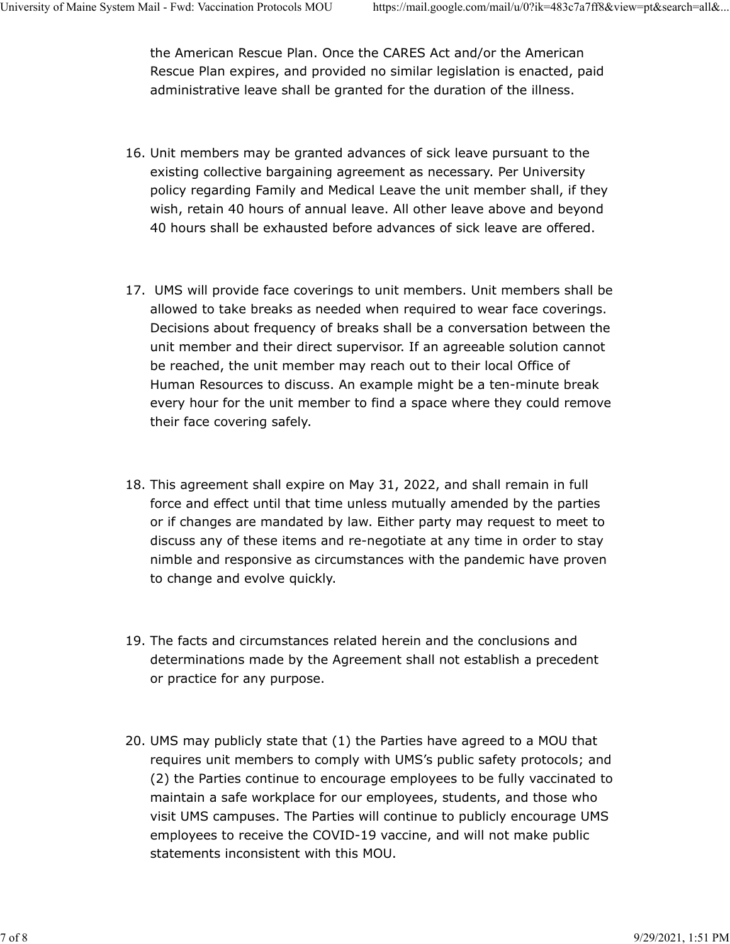the American Rescue Plan. Once the CARES Act and/or the American Rescue Plan expires, and provided no similar legislation is enacted, paid administrative leave shall be granted for the duration of the illness.

- 16. Unit members may be granted advances of sick leave pursuant to the existing collective bargaining agreement as necessary. Per University policy regarding Family and Medical Leave the unit member shall, if they wish, retain 40 hours of annual leave. All other leave above and beyond 40 hours shall be exhausted before advances of sick leave are offered.
- 17. UMS will provide face coverings to unit members. Unit members shall be allowed to take breaks as needed when required to wear face coverings. Decisions about frequency of breaks shall be a conversation between the unit member and their direct supervisor. If an agreeable solution cannot be reached, the unit member may reach out to their local Office of Human Resources to discuss. An example might be a ten-minute break every hour for the unit member to find a space where they could remove their face covering safely.
- 18. This agreement shall expire on May 31, 2022, and shall remain in full force and effect until that time unless mutually amended by the parties or if changes are mandated by law. Either party may request to meet to discuss any of these items and re-negotiate at any time in order to stay nimble and responsive as circumstances with the pandemic have proven to change and evolve quickly.
- 19. The facts and circumstances related herein and the conclusions and determinations made by the Agreement shall not establish a precedent or practice for any purpose.
- 20. UMS may publicly state that (1) the Parties have agreed to a MOU that requires unit members to comply with UMS's public safety protocols; and (2) the Parties continue to encourage employees to be fully vaccinated to maintain a safe workplace for our employees, students, and those who visit UMS campuses. The Parties will continue to publicly encourage UMS employees to receive the COVID-19 vaccine, and will not make public statements inconsistent with this MOU.